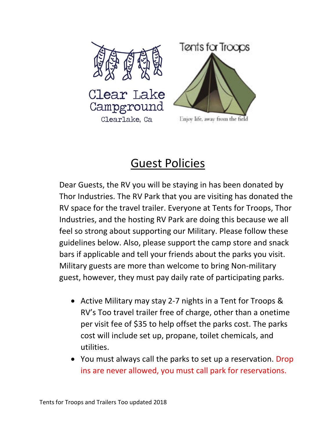

## Guest Policies

Dear Guests, the RV you will be staying in has been donated by Thor Industries. The RV Park that you are visiting has donated the RV space for the travel trailer. Everyone at Tents for Troops, Thor Industries, and the hosting RV Park are doing this because we all feel so strong about supporting our Military. Please follow these guidelines below. Also, please support the camp store and snack bars if applicable and tell your friends about the parks you visit. Military guests are more than welcome to bring Non-military guest, however, they must pay daily rate of participating parks.

- Active Military may stay 2-7 nights in a Tent for Troops & RV's Too travel trailer free of charge, other than a onetime per visit fee of \$35 to help offset the parks cost. The parks cost will include set up, propane, toilet chemicals, and utilities.
- You must always call the parks to set up a reservation. Drop ins are never allowed, you must call park for reservations.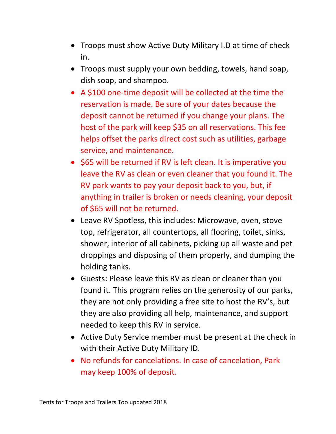- Troops must show Active Duty Military I.D at time of check in.
- Troops must supply your own bedding, towels, hand soap, dish soap, and shampoo.
- A \$100 one-time deposit will be collected at the time the reservation is made. Be sure of your dates because the deposit cannot be returned if you change your plans. The host of the park will keep \$35 on all reservations. This fee helps offset the parks direct cost such as utilities, garbage service, and maintenance.
- \$65 will be returned if RV is left clean. It is imperative you leave the RV as clean or even cleaner that you found it. The RV park wants to pay your deposit back to you, but, if anything in trailer is broken or needs cleaning, your deposit of \$65 will not be returned.
- Leave RV Spotless, this includes: Microwave, oven, stove top, refrigerator, all countertops, all flooring, toilet, sinks, shower, interior of all cabinets, picking up all waste and pet droppings and disposing of them properly, and dumping the holding tanks.
- Guests: Please leave this RV as clean or cleaner than you found it. This program relies on the generosity of our parks, they are not only providing a free site to host the RV's, but they are also providing all help, maintenance, and support needed to keep this RV in service.
- Active Duty Service member must be present at the check in with their Active Duty Military ID.
- No refunds for cancelations. In case of cancelation, Park may keep 100% of deposit.